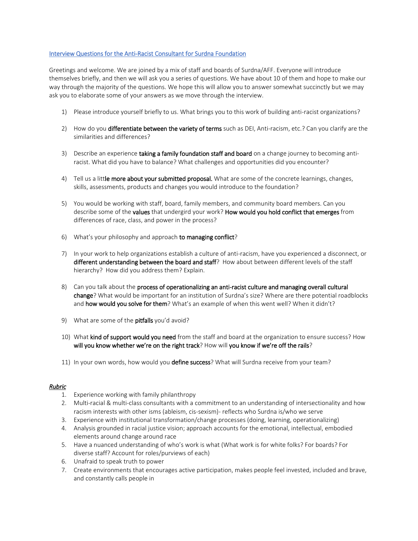## Interview Questions for the Anti-Racist Consultant for Surdna Foundation

Greetings and welcome. We are joined by a mix of staff and boards of Surdna/AFF. Everyone will introduce themselves briefly, and then we will ask you a series of questions. We have about 10 of them and hope to make our way through the majority of the questions. We hope this will allow you to answer somewhat succinctly but we may ask you to elaborate some of your answers as we move through the interview.

- 1) Please introduce yourself briefly to us. What brings you to this work of building anti-racist organizations?
- 2) How do you differentiate between the variety of terms such as DEI, Anti-racism, etc.? Can you clarify are the similarities and differences?
- 3) Describe an experience taking a family foundation staff and board on a change journey to becoming antiracist. What did you have to balance? What challenges and opportunities did you encounter?
- 4) Tell us a little more about your submitted proposal. What are some of the concrete learnings, changes, skills, assessments, products and changes you would introduce to the foundation?
- 5) You would be working with staff, board, family members, and community board members. Can you describe some of the values that undergird your work? How would you hold conflict that emerges from differences of race, class, and power in the process?
- 6) What's your philosophy and approach to managing conflict?
- 7) In your work to help organizations establish a culture of anti-racism, have you experienced a disconnect, or different understanding between the board and staff? How about between different levels of the staff hierarchy? How did you address them? Explain.
- 8) Can you talk about the process of operationalizing an anti-racist culture and managing overall cultural change? What would be important for an institution of Surdna's size? Where are there potential roadblocks and how would you solve for them? What's an example of when this went well? When it didn't?
- 9) What are some of the **pitfalls** you'd avoid?
- 10) What kind of support would you need from the staff and board at the organization to ensure success? How will you know whether we're on the right track? How will you know if we're off the rails?
- 11) In your own words, how would you **define success**? What will Surdna receive from your team?

## *Rubric*

- 1. Experience working with family philanthropy
- 2. Multi-racial & multi-class consultants with a commitment to an understanding of intersectionality and how racism interests with other isms (ableism, cis-sexism)- reflects who Surdna is/who we serve
- 3. Experience with institutional transformation/change processes (doing, learning, operationalizing)
- 4. Analysis grounded in racial justice vision; approach accounts for the emotional, intellectual, embodied elements around change around race
- 5. Have a nuanced understanding of who's work is what (What work is for white folks? For boards? For diverse staff? Account for roles/purviews of each)
- 6. Unafraid to speak truth to power
- 7. Create environments that encourages active participation, makes people feel invested, included and brave, and constantly calls people in